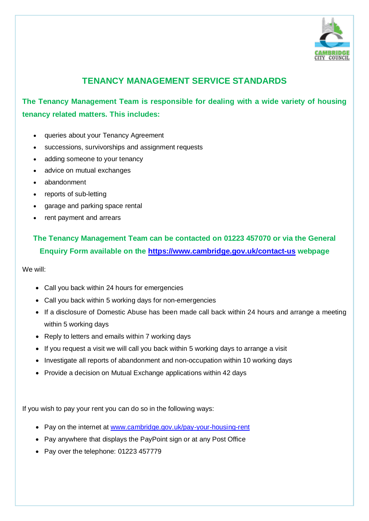

## **TENANCY MANAGEMENT SERVICE STANDARDS**

**The Tenancy Management Team is responsible for dealing with a wide variety of housing tenancy related matters. This includes:** 

- queries about your Tenancy Agreement
- successions, survivorships and assignment requests
- adding someone to your tenancy
- advice on mutual exchanges
- abandonment
- reports of sub-letting
- garage and parking space rental
- rent payment and arrears

## **The Tenancy Management Team can be contacted on 01223 457070 or via the General Enquiry Form available on the<https://www.cambridge.gov.uk/contact-us> webpage**

We will:

- Call you back within 24 hours for emergencies
- Call you back within 5 working days for non-emergencies
- If a disclosure of Domestic Abuse has been made call back within 24 hours and arrange a meeting within 5 working days
- Reply to letters and emails within 7 working days
- If you request a visit we will call you back within 5 working days to arrange a visit
- Investigate all reports of abandonment and non-occupation within 10 working days
- Provide a decision on Mutual Exchange applications within 42 days

If you wish to pay your rent you can do so in the following ways:

- Pay on the internet at [www.cambridge.gov.uk/pay-your-housing-rent](http://www.cambridge.gov.uk/pay-your-housing-rent)
- Pay anywhere that displays the PayPoint sign or at any Post Office
- Pay over the telephone: 01223 457779